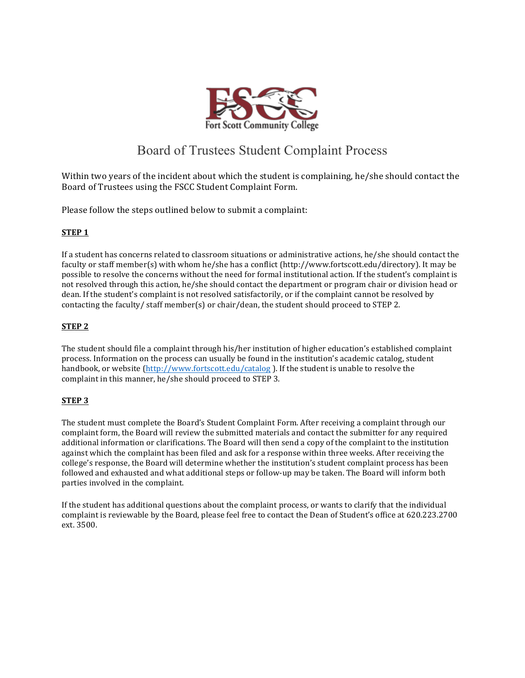

# Board of Trustees Student Complaint Process

Within two years of the incident about which the student is complaining, he/she should contact the Board of Trustees using the FSCC Student Complaint Form.

Please follow the steps outlined below to submit a complaint:

## **STEP 1**

If a student has concerns related to classroom situations or administrative actions, he/she should contact the faculty or staff member(s) with whom he/she has a conflict (http://www.fortscott.edu/directory). It may be possible to resolve the concerns without the need for formal institutional action. If the student's complaint is not resolved through this action, he/she should contact the department or program chair or division head or dean. If the student's complaint is not resolved satisfactorily, or if the complaint cannot be resolved by contacting the faculty/ $\frac{1}{\sqrt{5}}$  staff member(s) or chair/dean, the student should proceed to STEP 2.

## **STEP 2**

The student should file a complaint through his/her institution of higher education's established complaint process. Information on the process can usually be found in the institution's academic catalog, student handbook, or website (http://www.fortscott.edu/catalog). If the student is unable to resolve the complaint in this manner, he/she should proceed to STEP 3.

### **STEP 3**

The student must complete the Board's Student Complaint Form. After receiving a complaint through our complaint form, the Board will review the submitted materials and contact the submitter for any required additional information or clarifications. The Board will then send a copy of the complaint to the institution against which the complaint has been filed and ask for a response within three weeks. After receiving the college's response, the Board will determine whether the institution's student complaint process has been followed and exhausted and what additional steps or follow-up may be taken. The Board will inform both parties involved in the complaint.

If the student has additional questions about the complaint process, or wants to clarify that the individual complaint is reviewable by the Board, please feel free to contact the Dean of Student's office at 620.223.2700 ext. 3500.